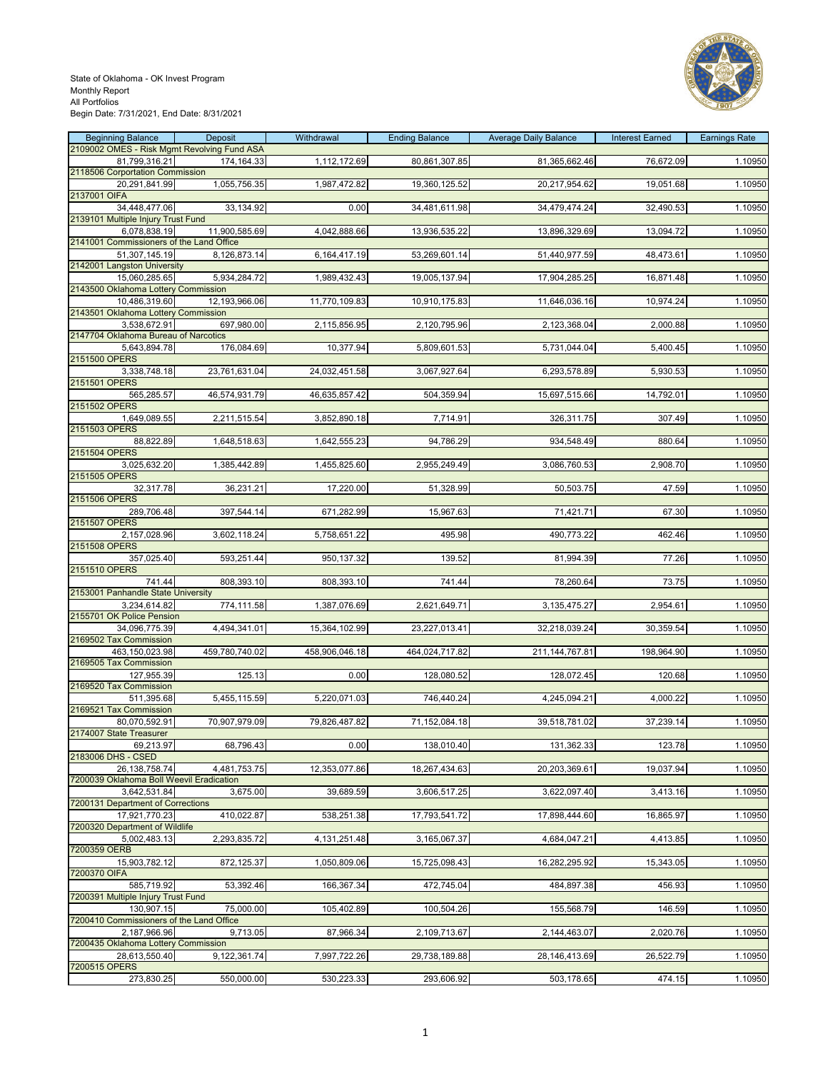

| <b>Beginning Balance</b>                                     | Deposit        | Withdrawal     | <b>Ending Balance</b> | <b>Average Daily Balance</b> | <b>Interest Earned</b> | <b>Earnings Rate</b> |
|--------------------------------------------------------------|----------------|----------------|-----------------------|------------------------------|------------------------|----------------------|
| 2109002 OMES - Risk Mgmt Revolving Fund ASA<br>81,799,316.21 | 174,164.33     | 1,112,172.69   | 80,861,307.85         | 81,365,662.46                | 76,672.09              | 1.10950              |
| 2118506 Corportation Commission                              |                |                |                       |                              |                        |                      |
| 20,291,841.99                                                | 1,055,756.35   | 1,987,472.82   | 19,360,125.52         | 20,217,954.62                | 19,051.68              | 1.10950              |
| 2137001 OIFA<br>34,448,477.06                                | 33,134.92      | 0.00           | 34,481,611.98         | 34,479,474.24                | 32,490.53              | 1.10950              |
| 2139101 Multiple Injury Trust Fund                           |                |                |                       |                              |                        |                      |
| 6,078,838.19                                                 | 11,900,585.69  | 4,042,888.66   | 13,936,535.22         | 13,896,329.69                | 13,094.72              | 1.10950              |
| 2141001 Commissioners of the Land Office                     |                | 6,164,417.19   | 53,269,601.14         | 51,440,977.59                | 48,473.61              | 1.10950              |
| 51,307,145.19<br>2142001 Langston University                 | 8,126,873.14   |                |                       |                              |                        |                      |
| 15,060,285.65                                                | 5,934,284.72   | 1,989,432.43   | 19,005,137.94         | 17,904,285.25                | 16,871.48              | 1.10950              |
| 2143500 Oklahoma Lottery Commission                          |                |                |                       |                              |                        |                      |
| 10,486,319.60<br>2143501 Oklahoma Lottery Commission         | 12,193,966.06  | 11,770,109.83  | 10,910,175.83         | 11,646,036.16                | 10,974.24              | 1.10950              |
| 3,538,672.91                                                 | 697,980.00     | 2,115,856.95   | 2,120,795.96          | 2,123,368.04                 | 2,000.88               | 1.10950              |
| 2147704 Oklahoma Bureau of Narcotics                         | 176,084.69     |                |                       |                              |                        |                      |
| 5,643,894.78<br>2151500 OPERS                                |                | 10,377.94      | 5,809,601.53          | 5,731,044.04                 | 5,400.45               | 1.10950              |
| 3,338,748.18                                                 | 23,761,631.04  | 24,032,451.58  | 3,067,927.64          | 6,293,578.89                 | 5,930.53               | 1.10950              |
| 2151501 OPERS<br>565,285.57                                  |                |                | 504,359.94            |                              |                        | 1.10950              |
| 2151502 OPERS                                                | 46,574,931.79  | 46,635,857.42  |                       | 15,697,515.66                | 14,792.01              |                      |
| 1,649,089.55                                                 | 2,211,515.54   | 3,852,890.18   | 7,714.91              | 326,311.75                   | 307.49                 | 1.10950              |
| 2151503 OPERS<br>88,822.89                                   |                |                |                       |                              |                        |                      |
| 2151504 OPERS                                                | 1,648,518.63   | 1,642,555.23   | 94,786.29             | 934,548.49                   | 880.64                 | 1.10950              |
| 3,025,632.20                                                 | 1,385,442.89   | 1,455,825.60   | 2,955,249.49          | 3,086,760.53                 | 2,908.70               | 1.10950              |
| 2151505 OPERS                                                |                |                |                       |                              |                        |                      |
| 32,317.78<br>2151506 OPERS                                   | 36,231.21      | 17,220.00      | 51,328.99             | 50,503.75                    | 47.59                  | 1.10950              |
| 289,706.48                                                   | 397,544.14     | 671,282.99     | 15,967.63             | 71,421.71                    | 67.30                  | 1.10950              |
| 2151507 OPERS                                                |                |                |                       |                              |                        |                      |
| 2,157,028.96<br>2151508 OPERS                                | 3,602,118.24   | 5,758,651.22   | 495.98                | 490,773.22                   | 462.46                 | 1.10950              |
| 357,025.40                                                   | 593,251.44     | 950,137.32     | 139.52                | 81,994.39                    | 77.26                  | 1.10950              |
| 2151510 OPERS                                                |                |                |                       |                              |                        |                      |
| 741.44<br>2153001 Panhandle State University                 | 808,393.10     | 808,393.10     | 741.44                | 78,260.64                    | 73.75                  | 1.10950              |
| 3,234,614.82                                                 | 774,111.58     | 1,387,076.69   | 2,621,649.71          | 3,135,475.27                 | 2,954.61               | 1.10950              |
| 2155701 OK Police Pension                                    |                |                |                       |                              |                        |                      |
| 34,096,775.39<br>2169502 Tax Commission                      | 4,494,341.01   | 15,364,102.99  | 23,227,013.41         | 32,218,039.24                | 30,359.54              | 1.10950              |
| 463,150,023.98                                               | 459,780,740.02 | 458,906,046.18 | 464,024,717.82        | 211,144,767.81               | 198,964.90             | 1.10950              |
| 2169505 Tax Commission                                       |                |                |                       |                              |                        |                      |
| 127,955.39<br>2169520 Tax Commission                         | 125.13         | 0.00           | 128,080.52            | 128,072.45                   | 120.68                 | 1.10950              |
| 511,395.68                                                   | 5,455,115.59   | 5,220,071.03   | 746,440.24            | 4,245,094.21                 | 4,000.22               | 1.10950              |
| 2169521 Tax Commission                                       | 70,907,979.09  |                |                       |                              |                        |                      |
| 80,070,592.91<br>2174007 State Treasurer                     |                | 79,826,487.82  | 71,152,084.18         | 39,518,781.02                | 37,239.14              | 1.10950              |
| 69,213.97                                                    | 68,796.43      | 0.00           | 138,010.40            | 131,362.33                   | 123.78                 | 1.10950              |
| 2183006 DHS - CSED<br>26, 138, 758. 74                       | 4,481,753.75   | 12,353,077.86  | 18,267,434.63         | 20,203,369.61                | 19,037.94              | 1.10950              |
| 7200039 Oklahoma Boll Weevil Eradication                     |                |                |                       |                              |                        |                      |
| 3,642,531.84                                                 | 3,675.00       | 39,689.59      | 3,606,517.25          | 3,622,097.40                 | 3,413.16               | 1.10950              |
| 7200131 Department of Corrections<br>17,921,770.23           | 410,022.87     |                |                       |                              |                        |                      |
| 7200320 Department of Wildlife                               |                | 538,251.38     | 17,793,541.72         | 17,898,444.60                | 16,865.97              | 1.10950              |
| 5,002,483.13                                                 | 2,293,835.72   | 4,131,251.48   | 3,165,067.37          | 4,684,047.21                 | 4,413.85               | 1.10950              |
| 7200359 OERB                                                 |                |                |                       |                              | 15,343.05              |                      |
| 15,903,782.12<br>7200370 OIFA                                | 872,125.37     | 1,050,809.06   | 15,725,098.43         | 16,282,295.92                |                        | 1.10950              |
| 585,719.92                                                   | 53,392.46      | 166,367.34     | 472,745.04            | 484,897.38                   | 456.93                 | 1.10950              |
| 7200391 Multiple Injury Trust Fund<br>130,907.15             |                |                |                       |                              |                        | 1.10950              |
| 7200410 Commissioners of the Land Office                     | 75,000.00      | 105,402.89     | 100,504.26            | 155,568.79                   | 146.59                 |                      |
| 2,187,966.96                                                 | 9,713.05       | 87,966.34      | 2,109,713.67          | 2,144,463.07                 | 2,020.76               | 1.10950              |
| 7200435 Oklahoma Lottery Commission                          |                |                |                       |                              |                        |                      |
| 28,613,550.40<br>7200515 OPERS                               | 9,122,361.74   | 7,997,722.26   | 29,738,189.88         | 28,146,413.69                | 26,522.79              | 1.10950              |
| 273,830.25                                                   | 550,000.00     | 530,223.33     | 293,606.92            | 503,178.65                   | 474.15                 | 1.10950              |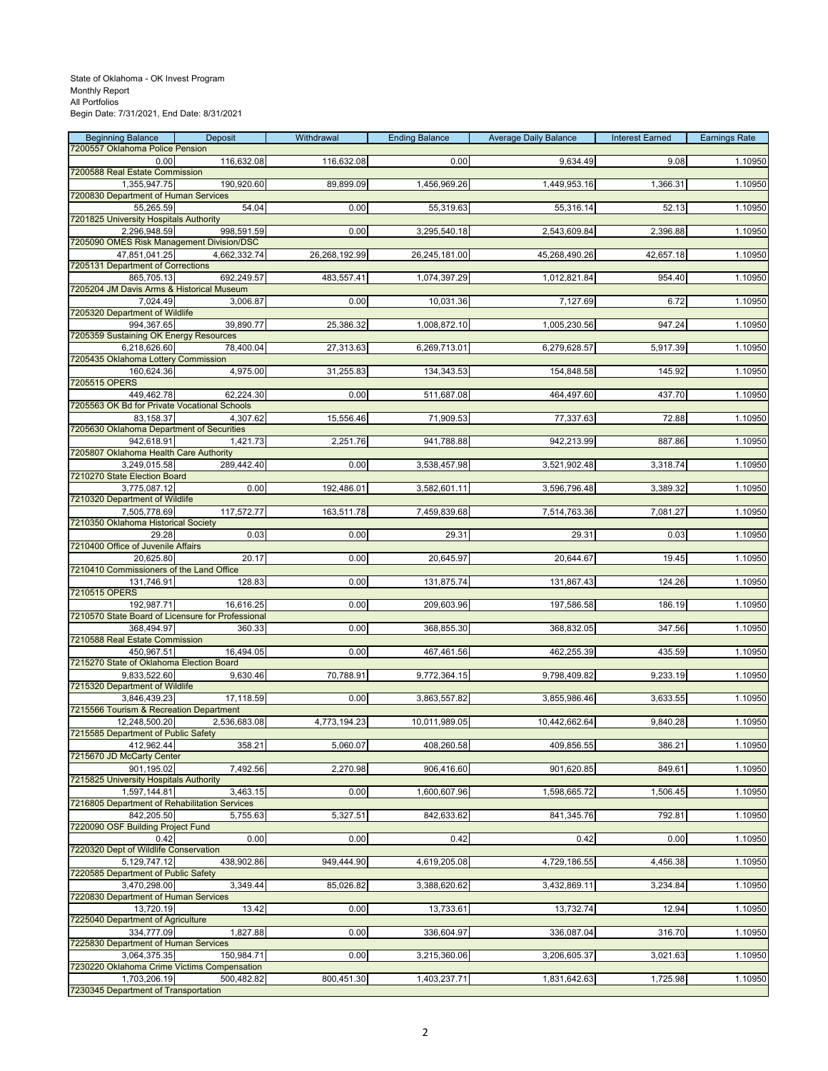| <b>Beginning Balance</b>                                        | Deposit      | Withdrawal    | <b>Ending Balance</b> | <b>Average Daily Balance</b> | <b>Interest Earned</b> | <b>Earnings Rate</b> |
|-----------------------------------------------------------------|--------------|---------------|-----------------------|------------------------------|------------------------|----------------------|
| 7200557 Oklahoma Police Pension<br>0.00                         | 116,632.08   | 116,632.08    | 0.00                  | 9,634.49                     | 9.08                   | 1.10950              |
| 7200588 Real Estate Commission                                  |              |               |                       |                              |                        |                      |
| 1,355,947.75                                                    | 190,920.60   | 89,899.09     | 1,456,969.26          | 1,449,953.16                 | 1,366.31               | 1.10950              |
| 7200830 Department of Human Services<br>55,265.59               | 54.04        | 0.00          | 55,319.63             | 55,316.14                    | 52.13                  | 1.10950              |
| 7201825 University Hospitals Authority                          |              |               |                       |                              |                        |                      |
| 2,296,948.59<br>7205090 OMES Risk Management Division/DSC       | 998,591.59   | 0.00          | 3,295,540.18          | 2,543,609.84                 | 2,396.88               | 1.10950              |
| 47,851,041.25                                                   | 4,662,332.74 | 26,268,192.99 | 26,245,181.00         | 45,268,490.26                | 42,657.18              | 1.10950              |
| 7205131 Department of Corrections                               |              |               |                       |                              |                        |                      |
| 865,705.13<br>7205204 JM Davis Arms & Historical Museum         | 692,249.57   | 483,557.41    | 1,074,397.29          | 1,012,821.84                 | 954.40                 | 1.10950              |
| 7,024.49                                                        | 3,006.87     | 0.00          | 10,031.36             | 7,127.69                     | 6.72                   | 1.10950              |
| 7205320 Department of Wildlife                                  |              |               |                       |                              |                        |                      |
| 994,367.65<br>7205359 Sustaining OK Energy Resources            | 39,890.77    | 25,386.32     | 1,008,872.10          | 1,005,230.56                 | 947.24                 | 1.10950              |
| 6,218,626.60                                                    | 78,400.04    | 27,313.63     | 6,269,713.01          | 6,279,628.57                 | 5,917.39               | 1.10950              |
| 7205435 Oklahoma Lottery Commission                             |              |               |                       |                              |                        |                      |
| 160,624.36                                                      | 4,975.00     | 31,255.83     | 134,343.53            | 154,848.58                   | 145.92                 | 1.10950              |
| 7205515 OPERS<br>449,462.78                                     | 62,224.30    | 0.00          | 511,687.08            | 464,497.60                   | 437.70                 | 1.10950              |
| 7205563 OK Bd for Private Vocational Schools                    |              |               |                       |                              |                        |                      |
| 83,158.37<br>7205630 Oklahoma Department of Securities          | 4,307.62     | 15,556.46     | 71,909.53             | 77,337.63                    | 72.88                  | 1.10950              |
| 942,618.91                                                      | 1,421.73     | 2,251.76      | 941,788.88            | 942,213.99                   | 887.86                 | 1.10950              |
| 7205807 Oklahoma Health Care Authority                          |              |               |                       |                              |                        |                      |
| 3,249,015.58<br>7210270 State Election Board                    | 289,442.40   | 0.00          | 3,538,457.98          | 3,521,902.48                 | 3,318.74               | 1.10950              |
| 3,775,087.12                                                    | 0.00         | 192,486.01    | 3,582,601.11          | 3,596,796.48                 | 3,389.32               | 1.10950              |
| 7210320 Department of Wildlife                                  |              |               |                       |                              |                        |                      |
| 7,505,778.69<br>7210350 Oklahoma Historical Society             | 117,572.77   | 163,511.78    | 7,459,839.68          | 7,514,763.36                 | 7,081.27               | 1.10950              |
| 29.28                                                           | 0.03         | 0.00          | 29.31                 | 29.31                        | 0.03                   | 1.10950              |
| 7210400 Office of Juvenile Affairs                              |              |               |                       |                              |                        |                      |
| 20,625.80<br>7210410 Commissioners of the Land Office           | 20.17        | 0.00          | 20,645.97             | 20,644.67                    | 19.45                  | 1.10950              |
| 131,746.91                                                      | 128.83       | 0.00          | 131,875.74            | 131,867.43                   | 124.26                 | 1.10950              |
| 7210515 OPERS                                                   |              |               |                       |                              |                        |                      |
| 192,987.71<br>7210570 State Board of Licensure for Professional | 16,616.25    | 0.00          | 209,603.96            | 197,586.58                   | 186.19                 | 1.10950              |
| 368,494.97                                                      | 360.33       | 0.00          | 368,855.30            | 368,832.05                   | 347.56                 | 1.10950              |
| 7210588 Real Estate Commission                                  |              |               |                       |                              |                        |                      |
| 450,967.51<br>7215270 State of Oklahoma Election Board          | 16,494.05    | 0.00          | 467,461.56            | 462,255.39                   | 435.59                 | 1.10950              |
| 9,833,522.60                                                    | 9,630.46     | 70,788.91     | 9,772,364.15          | 9,798,409.82                 | 9,233.19               | 1.10950              |
| 7215320 Department of Wildlife                                  |              |               |                       |                              |                        |                      |
| 3,846,439.23<br>7215566 Tourism & Recreation Department         | 17,118.59    | 0.00          | 3,863,557.82          | 3,855,986.46                 | 3,633.55               | 1.10950              |
| 12,248,500.20                                                   | 2,536,683.08 | 4,773,194.23  | 10,011,989.05         | 10,442,662.64                | 9,840.28               | 1.10950              |
| 7215585 Department of Public Safety                             |              |               |                       |                              |                        |                      |
| 412,962.44<br>7215670 JD McCarty Center                         | 358.21       | 5,060.07      | 408,260.58            | 409,856.55                   | 386.21                 | 1.10950              |
| 901,195.02                                                      | 7,492.56     | 2,270.98      | 906,416.60            | 901,620.85                   | 849.61                 | 1.10950              |
| 7215825 University Hospitals Authority                          |              |               |                       |                              |                        |                      |
| 1,597,144.81<br>7216805 Department of Rehabilitation Services   | 3,463.15     | 0.00          | 1,600,607.96          | 1,598,665.72                 | 1,506.45               | 1.10950              |
| 842,205.50                                                      | 5,755.63     | 5,327.51      | 842,633.62            | 841,345.76                   | 792.81                 | 1.10950              |
| 7220090 OSF Building Project Fund                               |              |               |                       |                              |                        |                      |
| 0.42<br>7220320 Dept of Wildlife Conservation                   | 0.00         | 0.00          | 0.42                  | 0.42                         | 0.00                   | 1.10950              |
| 5,129,747.12                                                    | 438,902.86   | 949,444.90    | 4,619,205.08          | 4,729,186.55                 | 4,456.38               | 1.10950              |
| 7220585 Department of Public Safety                             |              |               |                       |                              |                        |                      |
| 3,470,298.00<br>7220830 Department of Human Services            | 3,349.44     | 85,026.82     | 3,388,620.62          | 3,432,869.11                 | 3,234.84               | 1.10950              |
| 13,720.19                                                       | 13.42        | 0.00          | 13,733.61             | 13,732.74                    | 12.94                  | 1.10950              |
| 7225040 Department of Agriculture                               |              |               |                       |                              |                        |                      |
| 334,777.09<br>7225830 Department of Human Services              | 1,827.88     | 0.00          | 336,604.97            | 336,087.04                   | 316.70                 | 1.10950              |
| 3,064,375.35                                                    | 150,984.71   | 0.00          | 3,215,360.06          | 3,206,605.37                 | 3,021.63               | 1.10950              |
| 7230220 Oklahoma Crime Victims Compensation                     |              |               |                       |                              |                        |                      |
| 1,703,206.19<br>7230345 Department of Transportation            | 500,482.82   | 800,451.30    | 1,403,237.71          | 1,831,642.63                 | 1,725.98               | 1.10950              |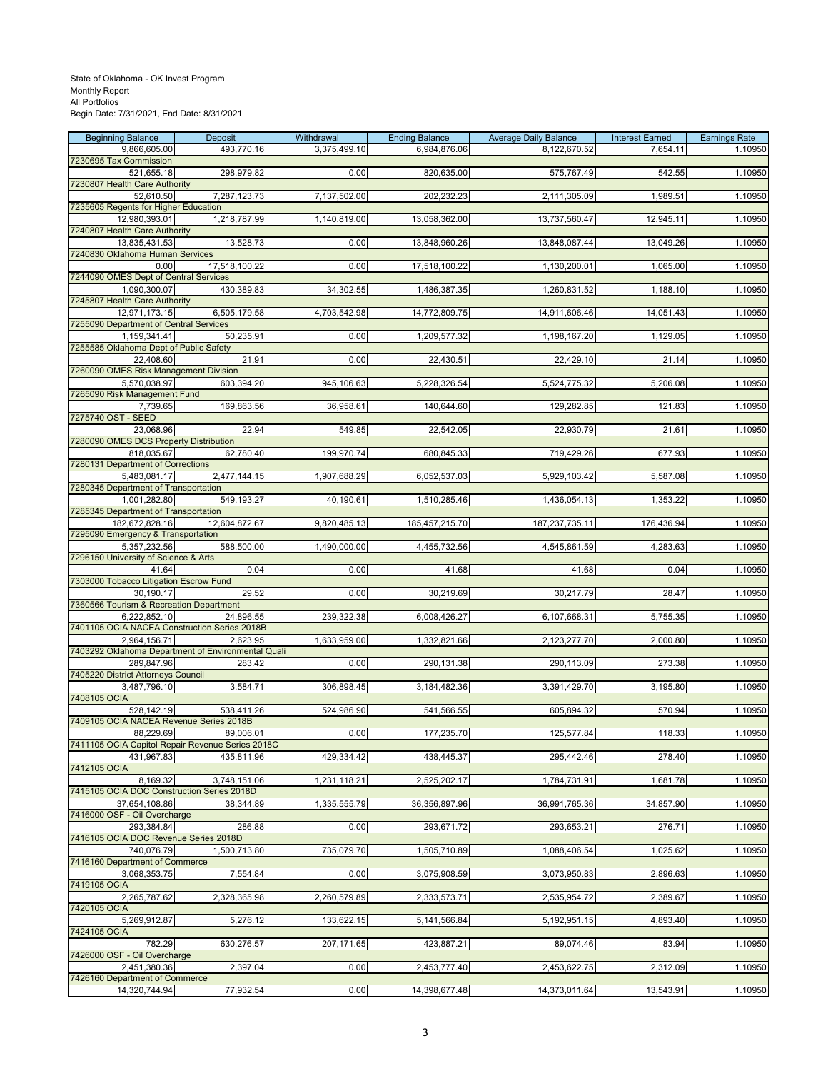| <b>Beginning Balance</b>                                      | Deposit       | Withdrawal   | <b>Ending Balance</b> | <b>Average Daily Balance</b> | <b>Interest Earned</b> | <b>Earnings Rate</b> |
|---------------------------------------------------------------|---------------|--------------|-----------------------|------------------------------|------------------------|----------------------|
| 9,866,605.00                                                  | 493,770.16    | 3,375,499.10 | 6.984.876.06          | 8,122,670.52                 | 7,654.11               | 1.10950              |
| 7230695 Tax Commission<br>521,655.18                          | 298,979.82    | 0.00         | 820,635.00            | 575,767.49                   | 542.55                 | 1.10950              |
| 7230807 Health Care Authority                                 |               |              |                       |                              |                        |                      |
| 52,610.50                                                     | 7,287,123.73  | 7,137,502.00 | 202,232.23            | 2,111,305.09                 | 1,989.51               | 1.10950              |
| 7235605 Regents for Higher Education                          |               |              |                       |                              |                        |                      |
| 12,980,393.01                                                 | 1,218,787.99  | 1,140,819.00 | 13,058,362.00         | 13,737,560.47                | 12,945.11              | 1.10950              |
| 7240807 Health Care Authority<br>13,835,431.53                | 13,528.73     | 0.00         | 13,848,960.26         | 13,848,087.44                | 13,049.26              | 1.10950              |
| 7240830 Oklahoma Human Services                               |               |              |                       |                              |                        |                      |
| 0.00                                                          | 17,518,100.22 | 0.00         | 17,518,100.22         | 1,130,200.01                 | 1,065.00               | 1.10950              |
| 7244090 OMES Dept of Central Services                         |               |              |                       |                              |                        |                      |
| 1,090,300.07                                                  | 430,389.83    | 34,302.55    | 1,486,387.35          | 1,260,831.52                 | 1,188.10               | 1.10950              |
| 7245807 Health Care Authority<br>12,971,173.15                | 6,505,179.58  | 4,703,542.98 | 14,772,809.75         | 14,911,606.46                | 14,051.43              | 1.10950              |
| 7255090 Department of Central Services                        |               |              |                       |                              |                        |                      |
| 1,159,341.41                                                  | 50,235.91     | 0.00         | 1,209,577.32          | 1,198,167.20                 | 1,129.05               | 1.10950              |
| 7255585 Oklahoma Dept of Public Safety                        |               |              |                       |                              |                        |                      |
| 22,408.60                                                     | 21.91         | 0.00         | 22,430.51             | 22,429.10                    | 21.14                  | 1.10950              |
| 7260090 OMES Risk Management Division                         |               |              |                       |                              |                        |                      |
| 5,570,038.97<br>7265090 Risk Management Fund                  | 603,394.20    | 945,106.63   | 5,228,326.54          | 5,524,775.32                 | 5,206.08               | 1.10950              |
| 7,739.65                                                      | 169,863.56    | 36,958.61    | 140,644.60            | 129,282.85                   | 121.83                 | 1.10950              |
| 7275740 OST - SEED                                            |               |              |                       |                              |                        |                      |
| 23,068.96                                                     | 22.94         | 549.85       | 22,542.05             | 22,930.79                    | 21.61                  | 1.10950              |
| 7280090 OMES DCS Property Distribution                        | 62.780.40     |              |                       |                              |                        |                      |
| 818,035.67<br>7280131 Department of Corrections               |               | 199,970.74   | 680,845.33            | 719,429.26                   | 677.93                 | 1.10950              |
| 5,483,081.17                                                  | 2,477,144.15  | 1,907,688.29 | 6,052,537.03          | 5,929,103.42                 | 5,587.08               | 1.10950              |
| 7280345 Department of Transportation                          |               |              |                       |                              |                        |                      |
| 1,001,282.80                                                  | 549,193.27    | 40,190.61    | 1,510,285.46          | 1,436,054.13                 | 1,353.22               | 1.10950              |
| 7285345 Department of Transportation                          |               |              |                       |                              |                        |                      |
| 182,672,828.16<br>7295090 Emergency & Transportation          | 12,604,872.67 | 9,820,485.13 | 185,457,215.70        | 187,237,735.11               | 176,436.94             | 1.10950              |
| 5,357,232.56                                                  | 588,500.00    | 1,490,000.00 | 4,455,732.56          | 4,545,861.59                 | 4,283.63               | 1.10950              |
| 7296150 University of Science & Arts                          |               |              |                       |                              |                        |                      |
| 41.64                                                         | 0.04          | 0.00         | 41.68                 | 41.68                        | 0.04                   | 1.10950              |
| 7303000 Tobacco Litigation Escrow Fund                        |               |              |                       |                              |                        |                      |
| 30,190.17<br>7360566 Tourism & Recreation Department          | 29.52         | 0.00         | 30,219.69             | 30,217.79                    | 28.47                  | 1.10950              |
| 6,222,852.10                                                  | 24,896.55     | 239,322.38   | 6,008,426.27          | 6,107,668.31                 | 5,755.35               | 1.10950              |
| 7401105 OCIA NACEA Construction Series 2018B                  |               |              |                       |                              |                        |                      |
| 2,964,156.71                                                  | 2,623.95      | 1,633,959.00 | 1,332,821.66          | 2,123,277.70                 | 2,000.80               | 1.10950              |
| 7403292 Oklahoma Department of Environmental Quali            |               |              |                       |                              |                        |                      |
| 289,847.96<br>7405220 District Attorneys Council              | 283.42        | 0.00         | 290,131.38            | 290,113.09                   | 273.38                 | 1.10950              |
| 3,487,796.10                                                  | 3,584.71      | 306,898.45   | 3,184,482.36          | 3,391,429.70                 | 3,195.80               | 1.10950              |
| 7408105 OCIA                                                  |               |              |                       |                              |                        |                      |
| 528,142.19                                                    | 538,411.26    | 524,986.90   | 541,566.55            | 605,894.32                   | 570.94                 | 1.10950              |
| 7409105 OCIA NACEA Revenue Series 2018B                       |               |              |                       |                              |                        |                      |
| 88,229.69<br>7411105 OCIA Capitol Repair Revenue Series 2018C | 89,006.01     | 0.00         | 177,235.70            | 125,577.84                   | 118.33                 | 1.10950              |
| 431,967.83                                                    | 435,811.96    | 429,334.42   | 438,445.37            | 295,442.46                   | 278.40                 | 1.10950              |
| 7412105 OCIA                                                  |               |              |                       |                              |                        |                      |
| 8,169.32                                                      | 3,748,151.06  | 1,231,118.21 | 2,525,202.17          | 1,784,731.91                 | 1,681.78               | 1.10950              |
| 7415105 OCIA DOC Construction Series 2018D                    |               |              |                       |                              |                        |                      |
| 37,654,108.86                                                 | 38,344.89     | 1,335,555.79 | 36,356,897.96         | 36,991,765.36                | 34,857.90              | 1.10950              |
| 7416000 OSF - Oil Overcharge<br>293.384.84                    | 286.88        | 0.00         | 293,671.72            | 293,653.21                   | 276.71                 | 1.10950              |
| 7416105 OCIA DOC Revenue Series 2018D                         |               |              |                       |                              |                        |                      |
| 740,076.79                                                    | 1,500,713.80  | 735,079.70   | 1,505,710.89          | 1,088,406.54                 | 1,025.62               | 1.10950              |
| 7416160 Department of Commerce                                |               |              |                       |                              |                        |                      |
| 3,068,353.75                                                  | 7,554.84      | 0.00         | 3,075,908.59          | 3,073,950.83                 | 2,896.63               | 1.10950              |
| 7419105 OCIA<br>2,265,787.62                                  | 2,328,365.98  | 2,260,579.89 | 2,333,573.71          | 2,535,954.72                 | 2,389.67               | 1.10950              |
| 7420105 OCIA                                                  |               |              |                       |                              |                        |                      |
| 5,269,912.87                                                  | 5,276.12      | 133,622.15   | 5, 141, 566.84        | 5,192,951.15                 | 4,893.40               | 1.10950              |
| 7424105 OCIA                                                  |               |              |                       |                              |                        |                      |
| 782.29                                                        | 630,276.57    | 207,171.65   | 423,887.21            | 89,074.46                    | 83.94                  | 1.10950              |
| 7426000 OSF - Oil Overcharge<br>2,451,380.36                  | 2,397.04      | 0.00         | 2,453,777.40          | 2,453,622.75                 | 2,312.09               | 1.10950              |
| 7426160 Department of Commerce                                |               |              |                       |                              |                        |                      |
| 14,320,744.94                                                 | 77,932.54     | 0.00         | 14,398,677.48         | 14,373,011.64                | 13,543.91              | 1.10950              |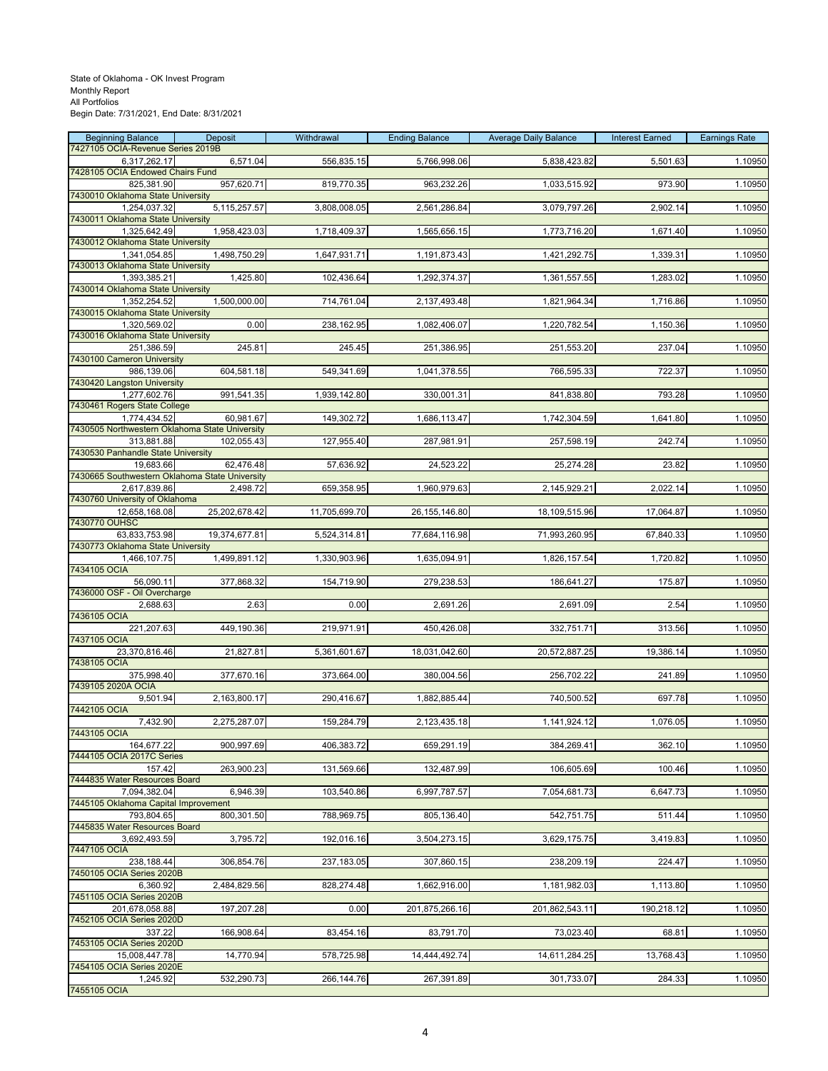| <b>Beginning Balance</b>                                       | Deposit        | Withdrawal    | <b>Ending Balance</b> | <b>Average Daily Balance</b> | <b>Interest Earned</b> | <b>Earnings Rate</b> |
|----------------------------------------------------------------|----------------|---------------|-----------------------|------------------------------|------------------------|----------------------|
| 7427105 OCIA-Revenue Series 2019B<br>6,317,262.17              | 6,571.04       | 556,835.15    | 5,766,998.06          | 5,838,423.82                 | 5,501.63               | 1.10950              |
| 7428105 OCIA Endowed Chairs Fund                               |                |               |                       |                              |                        |                      |
| 825,381.90<br>7430010 Oklahoma State University                | 957,620.71     | 819,770.35    | 963,232.26            | 1,033,515.92                 | 973.90                 | 1.10950              |
| 1,254,037.32                                                   | 5, 115, 257.57 | 3,808,008.05  | 2,561,286.84          | 3,079,797.26                 | 2,902.14               | 1.10950              |
| 7430011 Oklahoma State University                              |                |               |                       |                              |                        |                      |
| 1,325,642.49<br>7430012 Oklahoma State University              | 1,958,423.03   | 1,718,409.37  | 1,565,656.15          | 1,773,716.20                 | 1,671.40               | 1.10950              |
| 1,341,054.85                                                   | 1,498,750.29   | 1,647,931.71  | 1,191,873.43          | 1,421,292.75                 | 1,339.31               | 1.10950              |
| 7430013 Oklahoma State University                              | 1,425.80       | 102,436.64    | 1,292,374.37          | 1,361,557.55                 | 1,283.02               | 1.10950              |
| 1,393,385.21<br>7430014 Oklahoma State University              |                |               |                       |                              |                        |                      |
| 1,352,254.52                                                   | 1,500,000.00   | 714,761.04    | 2,137,493.48          | 1,821,964.34                 | 1,716.86               | 1.10950              |
| 7430015 Oklahoma State University<br>1,320,569.02              | 0.00           | 238,162.95    | 1,082,406.07          | 1,220,782.54                 | 1,150.36               | 1.10950              |
| 7430016 Oklahoma State University                              |                |               |                       |                              |                        |                      |
| 251,386.59                                                     | 245.81         | 245.45        | 251,386.95            | 251,553.20                   | 237.04                 | 1.10950              |
| 7430100 Cameron University<br>986,139.06                       | 604,581.18     | 549,341.69    | 1,041,378.55          | 766,595.33                   | 722.37                 | 1.10950              |
| 7430420 Langston University                                    |                |               |                       |                              |                        |                      |
| 1,277,602.76<br>7430461 Rogers State College                   | 991,541.35     | 1,939,142.80  | 330,001.31            | 841,838.80                   | 793.28                 | 1.10950              |
| 1,774,434.52                                                   | 60,981.67      | 149,302.72    | 1,686,113.47          | 1,742,304.59                 | 1,641.80               | 1.10950              |
| 7430505 Northwestern Oklahoma State University                 |                |               |                       |                              |                        |                      |
| 313,881.88<br>7430530 Panhandle State University               | 102,055.43     | 127,955.40    | 287,981.91            | 257,598.19                   | 242.74                 | 1.10950              |
| 19,683.66                                                      | 62,476.48      | 57,636.92     | 24,523.22             | 25,274.28                    | 23.82                  | 1.10950              |
| 7430665 Southwestern Oklahoma State University<br>2,617,839.86 | 2,498.72       | 659,358.95    | 1,960,979.63          | 2,145,929.21                 | 2,022.14               | 1.10950              |
| 7430760 University of Oklahoma                                 |                |               |                       |                              |                        |                      |
| 12,658,168.08                                                  | 25,202,678.42  | 11,705,699.70 | 26, 155, 146.80       | 18,109,515.96                | 17,064.87              | 1.10950              |
| 7430770 OUHSC<br>63,833,753.98                                 | 19,374,677.81  | 5,524,314.81  | 77,684,116.98         | 71,993,260.95                | 67,840.33              | 1.10950              |
| 7430773 Oklahoma State University                              |                |               |                       |                              |                        |                      |
| 1,466,107.75<br>7434105 OCIA                                   | 1,499,891.12   | 1,330,903.96  | 1,635,094.91          | 1,826,157.54                 | 1,720.82               | 1.10950              |
| 56,090.11                                                      | 377,868.32     | 154,719.90    | 279,238.53            | 186,641.27                   | 175.87                 | 1.10950              |
| 7436000 OSF - Oil Overcharge                                   |                |               |                       |                              |                        |                      |
| 2,688.63<br>7436105 OCIA                                       | 2.63           | 0.00          | 2,691.26              | 2,691.09                     | 2.54                   | 1.10950              |
| 221,207.63                                                     | 449,190.36     | 219,971.91    | 450,426.08            | 332,751.71                   | 313.56                 | 1.10950              |
| 7437105 OCIA<br>23,370,816.46                                  | 21,827.81      | 5,361,601.67  | 18,031,042.60         | 20,572,887.25                | 19,386.14              | 1.10950              |
| 7438105 OCIA                                                   |                |               |                       |                              |                        |                      |
| 375,998.40                                                     | 377,670.16     | 373,664.00    | 380,004.56            | 256,702.22                   | 241.89                 | 1.10950              |
| 7439105 2020A OCIA<br>9,501.94                                 | 2,163,800.17   | 290,416.67    | 1,882,885.44          | 740,500.52                   | 697.78                 | 1.10950              |
| 7442105 OCIA                                                   |                |               |                       |                              |                        |                      |
| 7,432.90<br>7443105 OCIA                                       | 2,275,287.07   | 159,284.79    | 2,123,435.18          | 1,141,924.12                 | 1,076.05               | 1.10950              |
| 164,677.22                                                     | 900,997.69     | 406,383.72    | 659,291.19            | 384,269.41                   | 362.10                 | 1.10950              |
| 7444105 OCIA 2017C Series                                      |                |               |                       |                              |                        |                      |
| 157.42<br>7444835 Water Resources Board                        | 263,900.23     | 131,569.66    | 132,487.99            | 106,605.69                   | 100.46                 | 1.10950              |
| 7,094,382.04                                                   | 6,946.39       | 103,540.86    | 6,997,787.57          | 7,054,681.73                 | 6,647.73               | 1.10950              |
| 7445105 Oklahoma Capital Improvement<br>793,804.65             | 800,301.50     | 788,969.75    | 805,136.40            | 542,751.75                   | 511.44                 | 1.10950              |
| 7445835 Water Resources Board                                  |                |               |                       |                              |                        |                      |
| 3,692,493.59                                                   | 3,795.72       | 192,016.16    | 3,504,273.15          | 3,629,175.75                 | 3,419.83               | 1.10950              |
| 7447105 OCIA<br>238,188.44                                     | 306,854.76     | 237,183.05    | 307,860.15            | 238,209.19                   | 224.47                 | 1.10950              |
| 7450105 OCIA Series 2020B                                      |                |               |                       |                              |                        |                      |
| 6,360.92                                                       | 2,484,829.56   | 828,274.48    | 1,662,916.00          | 1,181,982.03                 | 1,113.80               | 1.10950              |
| 7451105 OCIA Series 2020B<br>201,678,058.88                    | 197,207.28     | 0.00          | 201,875,266.16        | 201,862,543.11               | 190,218.12             | 1.10950              |
| 7452105 OCIA Series 2020D                                      |                |               |                       |                              |                        |                      |
| 337.22<br>7453105 OCIA Series 2020D                            | 166,908.64     | 83,454.16     | 83,791.70             | 73,023.40                    | 68.81                  | 1.10950              |
| 15,008,447.78                                                  | 14,770.94      | 578,725.98    | 14,444,492.74         | 14,611,284.25                | 13,768.43              | 1.10950              |
| 7454105 OCIA Series 2020E                                      |                |               |                       |                              |                        |                      |
| 1,245.92<br>7455105 OCIA                                       | 532,290.73     | 266,144.76    | 267,391.89            | 301,733.07                   | 284.33                 | 1.10950              |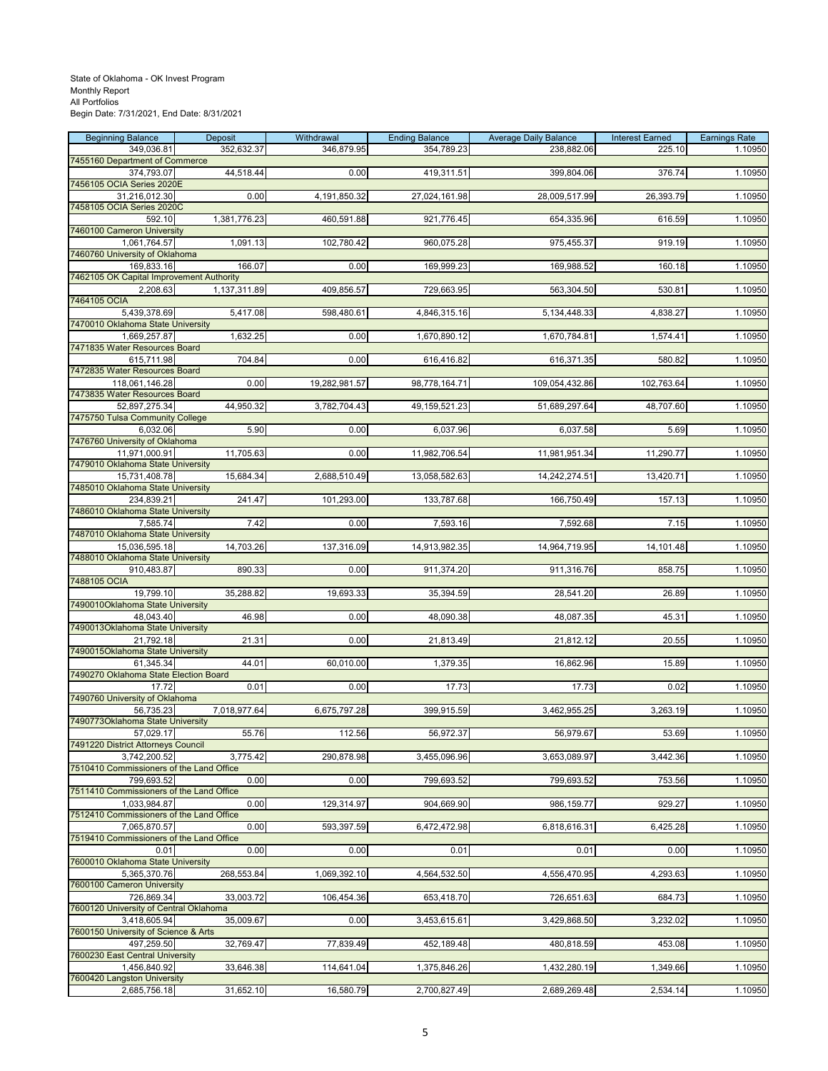| <b>Beginning Balance</b>                               | Deposit      | Withdrawal    | <b>Ending Balance</b> | <b>Average Daily Balance</b> | <b>Interest Earned</b> | <b>Earnings Rate</b> |
|--------------------------------------------------------|--------------|---------------|-----------------------|------------------------------|------------------------|----------------------|
| 349,036.81                                             | 352,632.37   | 346,879.95    | 354,789.23            | 238,882.06                   | 225.10                 | 1.10950              |
| 7455160 Department of Commerce                         |              |               |                       |                              |                        |                      |
| 374,793.07<br>7456105 OCIA Series 2020E                | 44,518.44    | 0.00          | 419,311.51            | 399,804.06                   | 376.74                 | 1.10950              |
| 31,216,012.30                                          | 0.00         | 4,191,850.32  | 27,024,161.98         | 28,009,517.99                | 26,393.79              | 1.10950              |
| 7458105 OCIA Series 2020C                              |              |               |                       |                              |                        |                      |
| 592.10                                                 | 1,381,776.23 | 460,591.88    | 921,776.45            | 654,335.96                   | 616.59                 | 1.10950              |
| 7460100 Cameron University                             |              |               |                       |                              |                        |                      |
| 1,061,764.57                                           | 1,091.13     | 102,780.42    | 960,075.28            | 975,455.37                   | 919.19                 | 1.10950              |
| 7460760 University of Oklahoma                         |              |               |                       |                              |                        |                      |
| 169,833.16<br>7462105 OK Capital Improvement Authority | 166.07       | 0.00          | 169,999.23            | 169,988.52                   | 160.18                 | 1.10950              |
| 2,208.63                                               | 1,137,311.89 | 409,856.57    | 729,663.95            | 563,304.50                   | 530.81                 | 1.10950              |
| 7464105 OCIA                                           |              |               |                       |                              |                        |                      |
| 5,439,378.69                                           | 5,417.08     | 598,480.61    | 4,846,315.16          | 5,134,448.33                 | 4,838.27               | 1.10950              |
| 7470010 Oklahoma State University                      |              |               |                       |                              |                        |                      |
| 1,669,257.87                                           | 1,632.25     | 0.00          | 1,670,890.12          | 1,670,784.81                 | 1,574.41               | 1.10950              |
| 7471835 Water Resources Board                          |              |               |                       |                              |                        |                      |
| 615,711.98<br>7472835 Water Resources Board            | 704.84       | 0.00          | 616,416.82            | 616,371.35                   | 580.82                 | 1.10950              |
| 118,061,146.28                                         | 0.00         | 19,282,981.57 | 98,778,164.71         | 109,054,432.86               | 102,763.64             | 1.10950              |
| 7473835 Water Resources Board                          |              |               |                       |                              |                        |                      |
| 52,897,275.34                                          | 44,950.32    | 3,782,704.43  | 49, 159, 521. 23      | 51,689,297.64                | 48,707.60              | 1.10950              |
| 7475750 Tulsa Community College                        |              |               |                       |                              |                        |                      |
| 6,032.06                                               | 5.90         | 0.00          | 6,037.96              | 6,037.58                     | 5.69                   | 1.10950              |
| 7476760 University of Oklahoma<br>11,971,000.91        | 11,705.63    | 0.00          | 11,982,706.54         | 11,981,951.34                | 11,290.77              | 1.10950              |
| 7479010 Oklahoma State University                      |              |               |                       |                              |                        |                      |
| 15,731,408.78                                          | 15,684.34    | 2,688,510.49  | 13,058,582.63         | 14,242,274.51                | 13,420.71              | 1.10950              |
| 7485010 Oklahoma State University                      |              |               |                       |                              |                        |                      |
| 234,839.21                                             | 241.47       | 101,293.00    | 133,787.68            | 166,750.49                   | 157.13                 | 1.10950              |
| 7486010 Oklahoma State University                      |              |               |                       |                              |                        |                      |
| 7,585.74                                               | 7.42         | 0.00          | 7,593.16              | 7,592.68                     | 7.15                   | 1.10950              |
| 7487010 Oklahoma State University<br>15,036,595.18     | 14,703.26    | 137,316.09    | 14,913,982.35         | 14,964,719.95                | 14,101.48              | 1.10950              |
| 7488010 Oklahoma State University                      |              |               |                       |                              |                        |                      |
| 910,483.87                                             | 890.33       | 0.00          | 911,374.20            | 911,316.76                   | 858.75                 | 1.10950              |
| 7488105 OCIA                                           |              |               |                       |                              |                        |                      |
| 19,799.10                                              | 35,288.82    | 19,693.33     | 35,394.59             | 28,541.20                    | 26.89                  | 1.10950              |
| 7490010Oklahoma State University                       |              |               |                       |                              |                        |                      |
| 48,043.40<br>7490013Oklahoma State University          | 46.98        | 0.00          | 48,090.38             | 48,087.35                    | 45.31                  | 1.10950              |
| 21,792.18                                              | 21.31        | 0.00          | 21,813.49             | 21,812.12                    | 20.55                  | 1.10950              |
| 7490015Oklahoma State University                       |              |               |                       |                              |                        |                      |
| 61,345.34                                              | 44.01        | 60,010.00     | 1,379.35              | 16,862.96                    | 15.89                  | 1.10950              |
| 7490270 Oklahoma State Election Board                  |              |               |                       |                              |                        |                      |
| 17.72                                                  | 0.01         | 0.00          | 17.73                 | 17.73                        | 0.02                   | 1.10950              |
| 7490760 University of Oklahoma<br>56,735.23            |              | 6,675,797.28  |                       | 3,462,955.25                 | 3,263.19               |                      |
| 7490773Oklahoma State University                       | 7,018,977.64 |               | 399,915.59            |                              |                        | 1.10950              |
| 57,029.17                                              | 55.76        | 112.56        | 56,972.37             | 56,979.67                    | 53.69                  | 1.10950              |
| 7491220 District Attorneys Council                     |              |               |                       |                              |                        |                      |
| 3.742.200.52                                           | 3,775.42     | 290,878.98    | 3,455,096.96          | 3,653,089.97                 | 3,442.36               | 1.10950              |
| 7510410 Commissioners of the Land Office               |              |               |                       |                              |                        |                      |
| 799,693.52<br>7511410 Commissioners of the Land Office | 0.00         | 0.00          | 799,693.52            | 799,693.52                   | 753.56                 | 1.10950              |
| 1,033,984.87                                           | 0.00         | 129,314.97    | 904,669.90            | 986,159.77                   | 929.27                 | 1.10950              |
| 7512410 Commissioners of the Land Office               |              |               |                       |                              |                        |                      |
| 7,065,870.57                                           | 0.00         | 593,397.59    | 6,472,472.98          | 6,818,616.31                 | 6,425.28               | 1.10950              |
| 7519410 Commissioners of the Land Office               |              |               |                       |                              |                        |                      |
| 0.01                                                   | 0.00         | 0.00          | 0.01                  | 0.01                         | 0.00                   | 1.10950              |
| 7600010 Oklahoma State University                      |              | 1,069,392.10  |                       |                              |                        | 1.10950              |
| 5,365,370.76<br>7600100 Cameron University             | 268,553.84   |               | 4,564,532.50          | 4,556,470.95                 | 4,293.63               |                      |
| 726,869.34                                             | 33,003.72    | 106,454.36    | 653,418.70            | 726,651.63                   | 684.73                 | 1.10950              |
| 7600120 University of Central Oklahoma                 |              |               |                       |                              |                        |                      |
| 3,418,605.94                                           | 35,009.67    | 0.00          | 3,453,615.61          | 3,429,868.50                 | 3,232.02               | 1.10950              |
| 7600150 University of Science & Arts                   |              |               |                       |                              |                        |                      |
| 497,259.50                                             | 32,769.47    | 77,839.49     | 452,189.48            | 480,818.59                   | 453.08                 | 1.10950              |
| 7600230 East Central University<br>1,456,840.92        | 33,646.38    | 114,641.04    | 1,375,846.26          | 1,432,280.19                 | 1,349.66               | 1.10950              |
| 7600420 Langston University                            |              |               |                       |                              |                        |                      |
| 2,685,756.18                                           | 31,652.10    | 16,580.79     | 2,700,827.49          | 2,689,269.48                 | 2,534.14               | 1.10950              |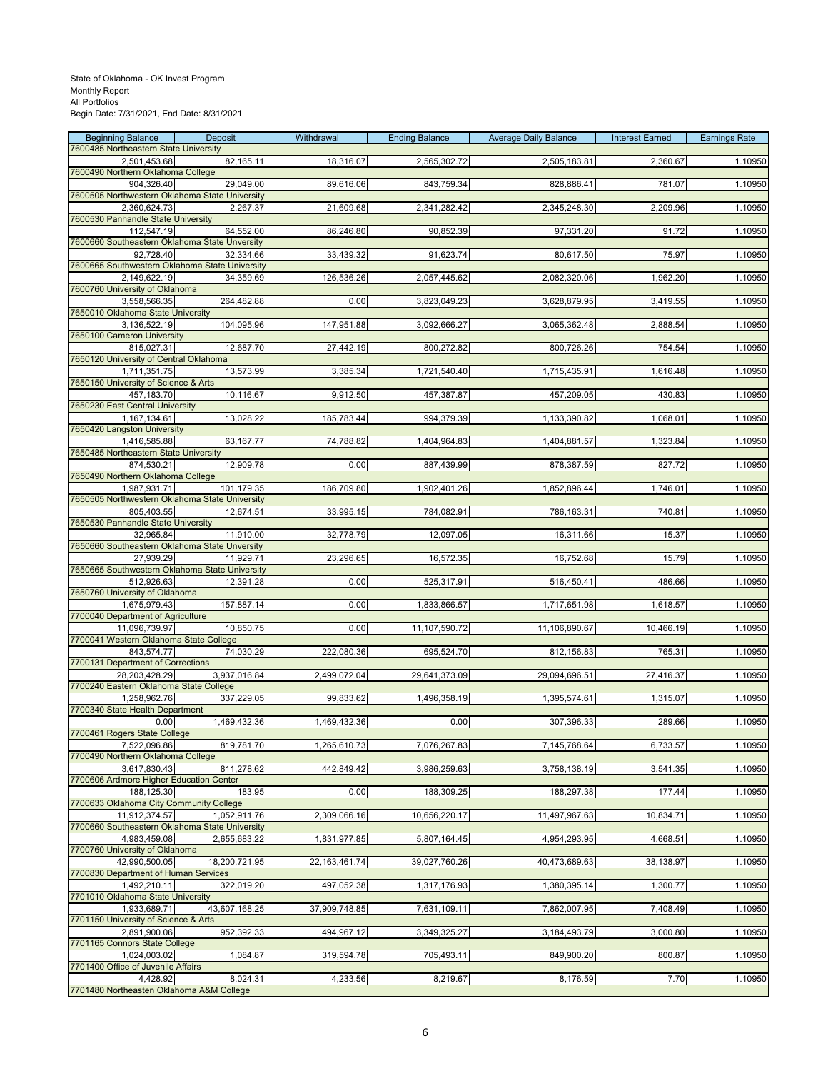| <b>Beginning Balance</b>                                     | Deposit       | Withdrawal       | <b>Ending Balance</b> | <b>Average Daily Balance</b> | <b>Interest Earned</b> | <b>Earnings Rate</b> |
|--------------------------------------------------------------|---------------|------------------|-----------------------|------------------------------|------------------------|----------------------|
| 7600485 Northeastern State University<br>2,501,453.68        | 82,165.11     | 18,316.07        | 2,565,302.72          | 2,505,183.81                 | 2,360.67               | 1.10950              |
| 7600490 Northern Oklahoma College                            |               |                  |                       |                              |                        |                      |
| 904,326.40<br>7600505 Northwestern Oklahoma State University | 29,049.00     | 89,616.06        | 843,759.34            | 828,886.41                   | 781.07                 | 1.10950              |
| 2,360,624.73                                                 | 2,267.37      | 21,609.68        | 2,341,282.42          | 2,345,248.30                 | 2,209.96               | 1.10950              |
| 7600530 Panhandle State University                           |               |                  |                       |                              |                        |                      |
| 112,547.19<br>7600660 Southeastern Oklahoma State Unversity  | 64,552.00     | 86,246.80        | 90,852.39             | 97,331.20                    | 91.72                  | 1.10950              |
| 92,728.40                                                    | 32,334.66     | 33,439.32        | 91,623.74             | 80,617.50                    | 75.97                  | 1.10950              |
| 7600665 Southwestern Oklahoma State University               | 34,359.69     |                  |                       |                              |                        |                      |
| 2,149,622.19<br>7600760 University of Oklahoma               |               | 126,536.26       | 2,057,445.62          | 2,082,320.06                 | 1,962.20               | 1.10950              |
| 3,558,566.35                                                 | 264,482.88    | 0.00             | 3,823,049.23          | 3,628,879.95                 | 3,419.55               | 1.10950              |
| 7650010 Oklahoma State University<br>3,136,522.19            | 104,095.96    | 147,951.88       | 3,092,666.27          | 3,065,362.48                 | 2,888.54               | 1.10950              |
| 7650100 Cameron University                                   |               |                  |                       |                              |                        |                      |
| 815,027.31                                                   | 12,687.70     | 27,442.19        | 800,272.82            | 800,726.26                   | 754.54                 | 1.10950              |
| 7650120 University of Central Oklahoma<br>1,711,351.75       | 13,573.99     | 3,385.34         | 1,721,540.40          | 1,715,435.91                 | 1,616.48               | 1.10950              |
| 7650150 University of Science & Arts                         |               |                  |                       |                              |                        |                      |
| 457,183.70<br>7650230 East Central University                | 10,116.67     | 9,912.50         | 457,387.87            | 457,209.05                   | 430.83                 | 1.10950              |
| 1,167,134.61                                                 | 13,028.22     | 185,783.44       | 994,379.39            | 1,133,390.82                 | 1,068.01               | 1.10950              |
| 7650420 Langston University                                  |               |                  |                       |                              |                        |                      |
| 1,416,585.88<br>7650485 Northeastern State University        | 63, 167. 77   | 74,788.82        | 1,404,964.83          | 1,404,881.57                 | 1,323.84               | 1.10950              |
| 874,530.21                                                   | 12,909.78     | 0.00             | 887,439.99            | 878,387.59                   | 827.72                 | 1.10950              |
| 7650490 Northern Oklahoma College<br>1,987,931.71            | 101,179.35    | 186,709.80       | 1,902,401.26          | 1,852,896.44                 | 1,746.01               | 1.10950              |
| 7650505 Northwestern Oklahoma State University               |               |                  |                       |                              |                        |                      |
| 805,403.55                                                   | 12,674.51     | 33,995.15        | 784,082.91            | 786,163.31                   | 740.81                 | 1.10950              |
| 7650530 Panhandle State University<br>32,965.84              | 11,910.00     | 32,778.79        | 12,097.05             | 16,311.66                    | 15.37                  | 1.10950              |
| 7650660 Southeastern Oklahoma State Unversity                |               |                  |                       |                              |                        |                      |
| 27,939.29<br>7650665 Southwestern Oklahoma State University  | 11,929.71     | 23,296.65        | 16,572.35             | 16,752.68                    | 15.79                  | 1.10950              |
| 512,926.63                                                   | 12,391.28     | 0.00             | 525,317.91            | 516,450.41                   | 486.66                 | 1.10950              |
| 7650760 University of Oklahoma                               |               |                  |                       |                              |                        |                      |
| 1,675,979.43<br>7700040 Department of Agriculture            | 157,887.14    | 0.00             | 1,833,866.57          | 1,717,651.98                 | 1,618.57               | 1.10950              |
| 11,096,739.97                                                | 10,850.75     | 0.00             | 11,107,590.72         | 11,106,890.67                | 10,466.19              | 1.10950              |
| 7700041 Western Oklahoma State College<br>843,574.77         | 74,030.29     | 222,080.36       | 695,524.70            | 812,156.83                   | 765.31                 | 1.10950              |
| 7700131 Department of Corrections                            |               |                  |                       |                              |                        |                      |
| 28,203,428.29<br>7700240 Eastern Oklahoma State College      | 3,937,016.84  | 2,499,072.04     | 29,641,373.09         | 29,094,696.51                | 27,416.37              | 1.10950              |
| 1,258,962.76                                                 | 337,229.05    | 99,833.62        | 1,496,358.19          | 1,395,574.61                 | 1,315.07               | 1.10950              |
| 7700340 State Health Department                              |               |                  |                       |                              |                        |                      |
| 0.00<br>7700461 Rogers State College                         | 1,469,432.36  | 1,469,432.36     | 0.00                  | 307,396.33                   | 289.66                 | 1.10950              |
| 7,522,096.86                                                 | 819,781.70    | 1,265,610.73     | 7,076,267.83          | 7,145,768.64                 | 6,733.57               | 1.10950              |
| 7700490 Northern Oklahoma College<br>3,617,830.43            | 811,278.62    | 442,849.42       | 3,986,259.63          | 3,758,138.19                 | 3,541.35               | 1.10950              |
| 7700606 Ardmore Higher Education Center                      |               |                  |                       |                              |                        |                      |
| 188,125.30                                                   | 183.95        | 0.00             | 188,309.25            | 188,297.38                   | 177.44                 | 1.10950              |
| 7700633 Oklahoma City Community College<br>11,912,374.57     | 1,052,911.76  | 2,309,066.16     | 10,656,220.17         | 11,497,967.63                | 10,834.71              | 1.10950              |
| 7700660 Southeastern Oklahoma State University               |               |                  |                       |                              |                        |                      |
| 4,983,459.08<br>7700760 University of Oklahoma               | 2,655,683.22  | 1,831,977.85     | 5,807,164.45          | 4,954,293.95                 | 4,668.51               | 1.10950              |
| 42,990,500.05                                                | 18,200,721.95 | 22, 163, 461. 74 | 39,027,760.26         | 40,473,689.63                | 38,138.97              | 1.10950              |
| 7700830 Department of Human Services                         |               |                  |                       |                              |                        |                      |
| 1,492,210.11<br>7701010 Oklahoma State University            | 322,019.20    | 497,052.38       | 1,317,176.93          | 1,380,395.14                 | 1,300.77               | 1.10950              |
| 1,933,689.71                                                 | 43,607,168.25 | 37,909,748.85    | 7,631,109.11          | 7,862,007.95                 | 7,408.49               | 1.10950              |
| 7701150 University of Science & Arts<br>2,891,900.06         | 952,392.33    | 494,967.12       | 3,349,325.27          | 3,184,493.79                 | 3,000.80               | 1.10950              |
| 7701165 Connors State College                                |               |                  |                       |                              |                        |                      |
| 1,024,003.02                                                 | 1,084.87      | 319,594.78       | 705,493.11            | 849,900.20                   | 800.87                 | 1.10950              |
| 7701400 Office of Juvenile Affairs<br>4,428.92               | 8,024.31      | 4,233.56         | 8,219.67              | 8,176.59                     | 7.70                   | 1.10950              |
| 7701480 Northeasten Oklahoma A&M College                     |               |                  |                       |                              |                        |                      |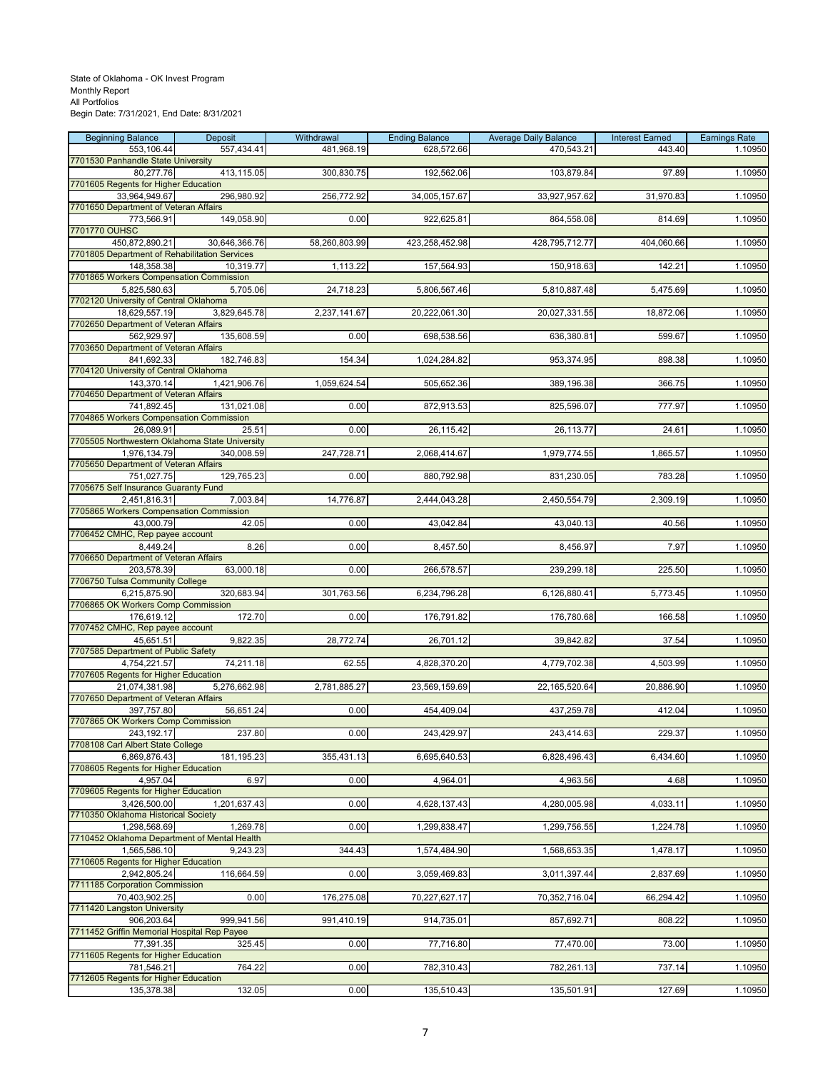| <b>Beginning Balance</b>                                        | Deposit       | Withdrawal    | <b>Ending Balance</b> | <b>Average Daily Balance</b> | <b>Interest Earned</b> | <b>Earnings Rate</b> |
|-----------------------------------------------------------------|---------------|---------------|-----------------------|------------------------------|------------------------|----------------------|
| 553,106.44                                                      | 557,434.41    | 481,968.19    | 628,572.66            | 470,543.21                   | 443.40                 | 1.10950              |
| 7701530 Panhandle State University                              |               |               |                       |                              |                        |                      |
| 80,277.76<br>7701605 Regents for Higher Education               | 413,115.05    | 300,830.75    | 192,562.06            | 103,879.84                   | 97.89                  | 1.10950              |
| 33,964,949.67                                                   | 296,980.92    | 256,772.92    | 34,005,157.67         | 33,927,957.62                | 31,970.83              | 1.10950              |
| 7701650 Department of Veteran Affairs                           |               |               |                       |                              |                        |                      |
| 773,566.91                                                      | 149,058.90    | 0.00          | 922,625.81            | 864,558.08                   | 814.69                 | 1.10950              |
| 7701770 OUHSC                                                   |               |               |                       |                              |                        |                      |
| 450,872,890.21<br>7701805 Department of Rehabilitation Services | 30,646,366.76 | 58,260,803.99 | 423,258,452.98        | 428,795,712.77               | 404,060.66             | 1.10950              |
| 148,358.38                                                      | 10,319.77     | 1,113.22      | 157,564.93            | 150,918.63                   | 142.21                 | 1.10950              |
| 7701865 Workers Compensation Commission                         |               |               |                       |                              |                        |                      |
| 5.825.580.63                                                    | 5,705.06      | 24,718.23     | 5,806,567.46          | 5,810,887.48                 | 5,475.69               | 1.10950              |
| 7702120 University of Central Oklahoma                          |               |               |                       |                              |                        |                      |
| 18,629,557.19<br>7702650 Department of Veteran Affairs          | 3,829,645.78  | 2,237,141.67  | 20,222,061.30         | 20,027,331.55                | 18,872.06              | 1.10950              |
| 562,929.97                                                      | 135,608.59    | 0.00          | 698,538.56            | 636,380.81                   | 599.67                 | 1.10950              |
| 7703650 Department of Veteran Affairs                           |               |               |                       |                              |                        |                      |
| 841,692.33                                                      | 182,746.83    | 154.34        | 1,024,284.82          | 953,374.95                   | 898.38                 | 1.10950              |
| 7704120 University of Central Oklahoma                          |               |               |                       |                              |                        |                      |
| 143,370.14<br>7704650 Department of Veteran Affairs             | 1,421,906.76  | 1,059,624.54  | 505,652.36            | 389,196.38                   | 366.75                 | 1.10950              |
| 741,892.45                                                      | 131,021.08    | 0.00          | 872,913.53            | 825,596.07                   | 777.97                 | 1.10950              |
| 7704865 Workers Compensation Commission                         |               |               |                       |                              |                        |                      |
| 26,089.91                                                       | 25.51         | 0.00          | 26,115.42             | 26,113.77                    | 24.61                  | 1.10950              |
| 7705505 Northwestern Oklahoma State University                  |               |               |                       |                              |                        |                      |
| 1,976,134.79<br>7705650 Department of Veteran Affairs           | 340,008.59    | 247,728.71    | 2,068,414.67          | 1,979,774.55                 | 1,865.57               | 1.10950              |
| 751,027.75                                                      | 129,765.23    | 0.00          | 880,792.98            | 831,230.05                   | 783.28                 | 1.10950              |
| 7705675 Self Insurance Guaranty Fund                            |               |               |                       |                              |                        |                      |
| 2,451,816.31                                                    | 7,003.84      | 14,776.87     | 2,444,043.28          | 2,450,554.79                 | 2,309.19               | 1.10950              |
| 7705865 Workers Compensation Commission                         |               |               |                       |                              |                        |                      |
| 43,000.79<br>7706452 CMHC, Rep payee account                    | 42.05         | 0.00          | 43,042.84             | 43,040.13                    | 40.56                  | 1.10950              |
| 8,449.24                                                        | 8.26          | 0.00          | 8,457.50              | 8,456.97                     | 7.97                   | 1.10950              |
| 7706650 Department of Veteran Affairs                           |               |               |                       |                              |                        |                      |
| 203,578.39                                                      | 63,000.18     | 0.00          | 266,578.57            | 239,299.18                   | 225.50                 | 1.10950              |
| 7706750 Tulsa Community College                                 |               |               |                       |                              |                        |                      |
| 6,215,875.90<br>7706865 OK Workers Comp Commission              | 320,683.94    | 301,763.56    | 6,234,796.28          | 6,126,880.41                 | 5,773.45               | 1.10950              |
| 176,619.12                                                      | 172.70        | 0.00          | 176,791.82            | 176,780.68                   | 166.58                 | 1.10950              |
| 7707452 CMHC, Rep payee account                                 |               |               |                       |                              |                        |                      |
| 45,651.51                                                       | 9,822.35      | 28,772.74     | 26,701.12             | 39,842.82                    | 37.54                  | 1.10950              |
| 7707585 Department of Public Safety                             |               |               |                       |                              |                        |                      |
| 4,754,221.57                                                    | 74,211.18     | 62.55         | 4,828,370.20          | 4,779,702.38                 | 4,503.99               | 1.10950              |
| 7707605 Regents for Higher Education<br>21,074,381.98           | 5,276,662.98  | 2,781,885.27  | 23,569,159.69         | 22,165,520.64                | 20,886.90              | 1.10950              |
| 7707650 Department of Veteran Affairs                           |               |               |                       |                              |                        |                      |
| 397,757.80                                                      | 56,651.24     | 0.00          | 454,409.04            | 437,259.78                   | 412.04                 | 1.10950              |
| 7707865 OK Workers Comp Commission                              |               |               |                       |                              |                        |                      |
| 243,192.17                                                      | 237.80        | 0.00          | 243,429.97            | 243,414.63                   | 229.37                 | 1.10950              |
| 7708108 Carl Albert State College<br>6.869.876.43               | 181,195.23    | 355,431.13    | 6,695,640.53          | 6,828,496.43                 | 6,434.60               | 1.10950              |
| 7708605 Regents for Higher Education                            |               |               |                       |                              |                        |                      |
| 4,957.04                                                        | 6.97          | 0.00          | 4,964.01              | 4,963.56                     | 4.68                   | 1.10950              |
| 7709605 Regents for Higher Education                            |               |               |                       |                              |                        |                      |
| 3,426,500.00                                                    | 1,201,637.43  | 0.00          | 4,628,137.43          | 4,280,005.98                 | 4,033.11               | 1.10950              |
| 7710350 Oklahoma Historical Society<br>1,298,568.69             | 1.269.78      | 0.00          | 1,299,838.47          | 1,299,756.55                 | 1,224.78               | 1.10950              |
| 7710452 Oklahoma Department of Mental Health                    |               |               |                       |                              |                        |                      |
| 1,565,586.10                                                    | 9,243.23      | 344.43        | 1,574,484.90          | 1,568,653.35                 | 1,478.17               | 1.10950              |
| 7710605 Regents for Higher Education                            |               |               |                       |                              |                        |                      |
| 2,942,805.24                                                    | 116,664.59    | 0.00          | 3,059,469.83          | 3,011,397.44                 | 2,837.69               | 1.10950              |
| 7711185 Corporation Commission<br>70.403.902.25                 | 0.00          | 176,275.08    | 70,227,627.17         | 70,352,716.04                | 66,294.42              | 1.10950              |
| 7711420 Langston University                                     |               |               |                       |                              |                        |                      |
| 906,203.64                                                      | 999,941.56    | 991,410.19    | 914,735.01            | 857,692.71                   | 808.22                 | 1.10950              |
| 7711452 Griffin Memorial Hospital Rep Payee                     |               |               |                       |                              |                        |                      |
| 77,391.35                                                       | 325.45        | 0.00          | 77,716.80             | 77,470.00                    | 73.00                  | 1.10950              |
| 7711605 Regents for Higher Education<br>781,546.21              | 764.22        | 0.00          | 782,310.43            | 782,261.13                   | 737.14                 | 1.10950              |
| 7712605 Regents for Higher Education                            |               |               |                       |                              |                        |                      |
| 135,378.38                                                      | 132.05        | 0.00          | 135,510.43            | 135,501.91                   | 127.69                 | 1.10950              |